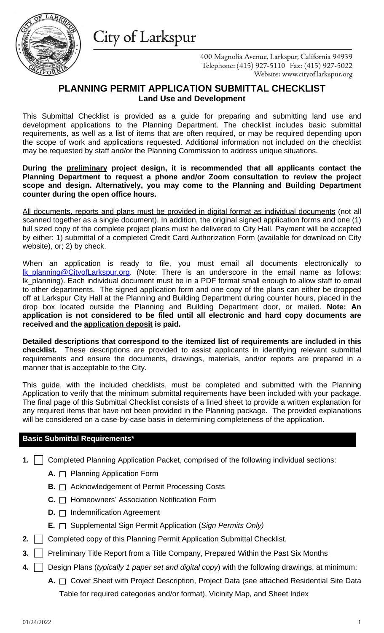requirements, as well as a list of items that are often required, or may be required depending upon the scope of work and applications requested. Additional information not included on the checklist may be requested by staff and/or the Planning Commission to address unique situations.

### **During the preliminary project design, it is recommended that all applicants contact the Planning Department to request a phone and/or Zoom consultation to review the project scope and design. Alternatively, you may come to the Planning and Building Department counter during the open office hours.**

All documents, reports and plans must be provided in digital format as individual documents (not all scanned together as a single document). In addition, the original signed application forms and one (1) full sized copy of the complete project plans must be delivered to City Hall. Payment will be accepted by either: 1) submittal of a completed Credit Card Authorization Form (available for download on City website), or; 2) by check.

When an application is ready to file, you must email all documents electronically to Ik planning@CityofLarkspur.org. (Note: There is an underscore in the email name as follows: Ik planning). Each individual document must be in a PDF format small enough to allow staff to email to other departments. The signed application form and one copy of the plans can either be dropped off at Larkspur City Hall at the Planning and Building Department during counter hours, placed in the drop box located outside the Planning and Building Department door, or mailed. **Note: An application is not considered to be filed until all electronic and hard copy documents are received and the application deposit is paid.**

**Detailed descriptions that correspond to the itemized list of requirements are included in this checklist.** These descriptions are provided to assist applicants in identifying relevant submittal requirements and ensure the documents, drawings, materials, and/or reports are prepared in a manner that is acceptable to the City.

This guide, with the included checklists, must be completed and submitted with the Planning Application to verify that the minimum submittal requirements have been included with your package. The final page of this Submittal Checklist consists of a lined sheet to provide a written explanation for any [required](mailto:lk_planning@CityofLarkspur.org) items that have not been provided in the Planning package. The provided explanations will be considered on a case-by-case basis in determining completeness of the application.

### **Basic Submittal Requirements\***

- **1.** | Completed Planning Application Packet, comprised of the following individual sections:
	- **A.** □ Planning Application Form
	- $B. \Box$  Acknowledgement of Permit Processing Costs
	- **C.** □ Homeowners' Association Notification Form
	- **D.** □ Indemnification Agreement
	- **E.** Supplemental Sign Permit Application (*Sign Permits Only)*
- **2.** Completed copy of this Planning Permit Application Submittal Checklist.
- **3.** Preliminary Title Report from a Title Company, Prepared Within the Past Six Months
- **4.** Design Plans (*typically 1 paper set and digital copy*) with the following drawings, at minimum:
	- **A.** □ Cover Sheet with Project Description, Project Data (see attached Residential Site Data Table fo[r required categories and/or](http://www.cityoflarkspur.org/DocumentCenter/Home/View/150) format), Vicinity Map, and Sheet Index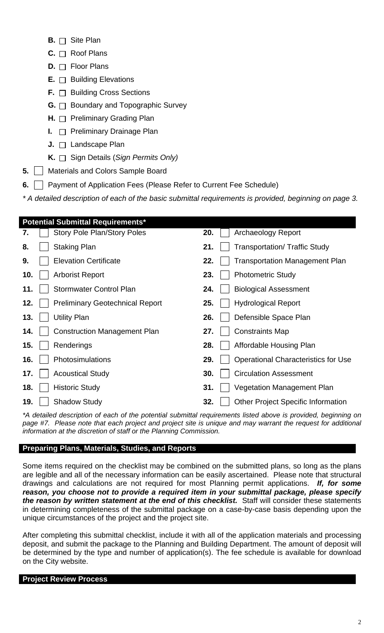- $B. \Box$  Site Plan
- **C.** Roof Plans
- **D.** □ Floor Plans
- E.  $\Box$  Building Elevations
- **F.** □ Building Cross Sections
- **G.** □ Boundary and Topographic Survey
- **H.** □ Preliminary Grading Plan
- **I.**  $\Box$  Preliminary Drainage Plan
- **J.** □ Landscape Plan
- **K.** □ Sign Details (*Sign Permits Only*)
- **5.** | Materials and Colors Sample Board
- **6.**  $\Box$  Payment of Application Fees (Please Refer to Current Fee Schedule)

*\* A detailed description of each of the basic submittal requirements is provided, beginning on page 3.*

| <b>Potential Submittal Requirements*</b> |                                            |
|------------------------------------------|--------------------------------------------|
| <b>Story Pole Plan/Story Poles</b>       | 20.                                        |
| 7.                                       | <b>Archaeology Report</b>                  |
| <b>Staking Plan</b>                      | 21.                                        |
| 8.                                       | <b>Transportation/ Traffic Study</b>       |
| <b>Elevation Certificate</b>             | 22.                                        |
| 9.                                       | <b>Transportation Management Plan</b>      |
| 10.                                      | 23.                                        |
| <b>Arborist Report</b>                   | <b>Photometric Study</b>                   |
| <b>Stormwater Control Plan</b>           | <b>Biological Assessment</b>               |
| 11.                                      | 24.                                        |
| 12.                                      | 25.                                        |
| <b>Preliminary Geotechnical Report</b>   | <b>Hydrological Report</b>                 |
| 13.                                      | 26.                                        |
| Utility Plan                             | Defensible Space Plan                      |
| <b>Construction Management Plan</b>      | <b>Constraints Map</b>                     |
| 14.                                      | 27.                                        |
| 15.                                      | 28.                                        |
| Renderings                               | Affordable Housing Plan                    |
| 16.                                      | 29.                                        |
| Photosimulations                         | <b>Operational Characteristics for Use</b> |
| 17.                                      | <b>Circulation Assessment</b>              |
| <b>Acoustical Study</b>                  | 30.                                        |
| 18.                                      | 31.                                        |
| <b>Historic Study</b>                    | <b>Vegetation Management Plan</b>          |
| 19.                                      | 32.                                        |
| <b>Shadow Study</b>                      | <b>Other Project Specific Information</b>  |
|                                          |                                            |

*\*A detailed description of each of the potential submittal requirements listed above is provided, beginning on* page #7. Please note that each project and project site is unique and may warrant the request for additional *information at the discretion of staff or the Planning Commission.*

# **Preparing Plans, Materials, Studies, and Reports**

Some items required on the checklist may be combined on the submitted plans, so long as the plans are legible and all of the necessary information can be easily ascertained. Please note that structural drawings and calculations are not required for most Planning permit applications. *If, for some reason, you choose not to provide a required item in your submittal package, please specify the reason by written statement at the end of this checklist.* Staff will consider these statements in determining completeness of the submittal package on a case-by-case basis depending upon the unique circumstances of the project and the project site.

After completing this submittal checklist, include it with all of the application materials and processing deposit, and submit the package to the Planning and Building Department. The amount of deposit will be determined by the type and number of application(s). The fee schedule is available for download on the City website.

# **Project Review Process**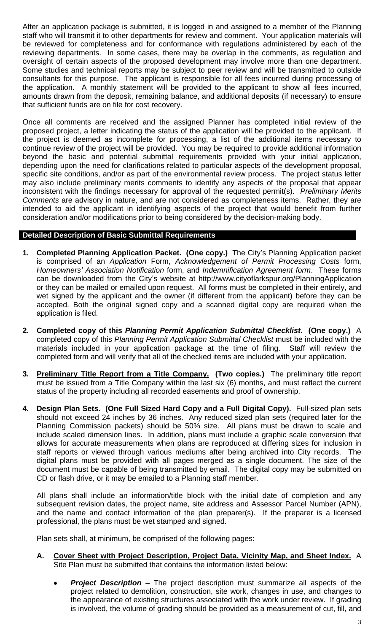the project is deemed as incomplete for processing, a list of the additional items necessary to continue review of the project will be provided. You may be required to provide additional information beyond the basic and potential submittal requirements provided with your initial application, depending upon the need for clarifications related to particular aspects of the development proposal, specific site conditions, and/or as part of the environmental review process. The project status letter may also include preliminary merits comments to identify any aspects of the proposal that appear inconsistent with the findings necessary for approval of the requested permit(s). *Preliminary Merits Comments* are advisory in nature, and are not considered as completeness items. Rather, they are intended to aid the applicant in identifying aspects of the project that would benefit from further consideration and/or modifications prior to being considered by the decision-making body.

# **Detailed Description of Basic Submittal Requirements**

- **1. Completed Planning Application Packet. (One copy.)** The City's Planning Application packet is comprised of an *Application* Form, *Acknowledgement of Permit Processing Costs* form, *Homeowners' Association Notification* form, and *Indemnification Agreement form*. These forms can be downloaded from the City's website at http://www.cityoflarkspur.org/PlanningApplication or they can be mailed or emailed upon request. All forms must be completed in their entirely, and wet signed by the applicant and the owner (if different from the applicant) before they can be accepted. Both the original signed copy and a scanned digital copy are required when the application is filed.
- **2. Completed copy of this** *Planning Permit Application Submittal Checklist***. (One copy.)** A completed copy of this *Planning Permit Application Submittal Checklist* must be included with the materials included in your application package at the time of filing. Staff will review the completed form and will verify that all of the checked items are included with your application.
- **3. Preliminary Title Report from a Title Company. (Two copies.)** The preliminary title report must be issued from a Title Company within the last six (6) months, and must reflect the current status of the [property including all recorded](http://www.cityoflarkspur.org/DocumentCenter/Home/View/150) easements and proof of ownership.
- **4. Design Plan Sets. (One Full Sized Hard Copy and a Full Digital Copy).** Full-sized plan sets should not exceed 24 inches by 36 inches. Any reduced sized plan sets [\(required](http://www.cityoflarkspur.org/PlanningApplication) later for the Planning Commission packets) should be 50% size. All plans must be drawn to scale and include scaled dimension lines. In addition, plans must include a graphic scale conversion that allows for accurate measurements when plans are reproduced at differing sizes for inclusion in staff reports or viewed through various mediums after being archived into City records. The digital plans must be provided with all pages merged as a single document. The size of the document must be capable of being transmitted by email. The digital copy may be submitted on CD or flash drive, or it may be emailed to a Planning staff member.

All plans shall include an information/title block with the initial date of completion and any subsequent revision dates, the project name, site address and Assessor Parcel Number (APN), and the name and contact information of the plan preparer(s). If the preparer is a licensed professional, the plans must be wet stamped and signed.

Plan sets shall, at minimum, be comprised of the following pages:

- **A. Cover Sheet with Project Description, Project Data, Vicinity Map, and Sheet Index.** A Site Plan must be submitted that contains the information listed below:
	- *Project Description* The project description must summarize all aspects of the project related to demolition, construction, site work, changes in use, and changes to the appearance of existing structures associated with the work under review. If grading is involved, the volume of grading should be provided as a measurement of cut, fill, and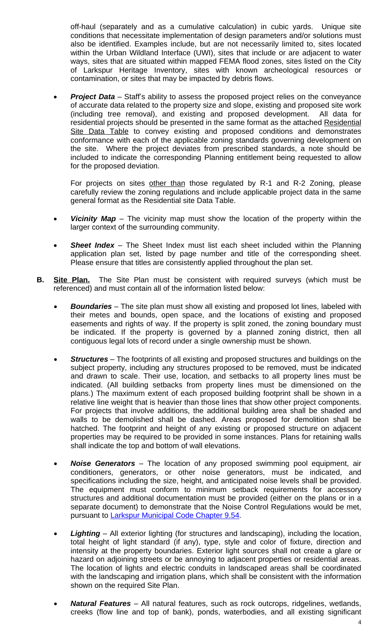conformance with each of the applicable zoning standards governing development on the site. Where the project deviates from prescribed standards, a note should be included to indicate the corresponding Planning entitlement being requested to allow for the proposed deviation.

For projects on sites other than those regulated by R-1 and R-2 Zoning, please carefully review the zoning regulations and include applicable project data in the same general format as the Residential site Data Table.

- *Vicinity Map –* The vicinity map must show the location of the property within the larger context of the surrounding community.
- *Sheet Index* The Sheet Index must list each sheet included within the Planning application plan set, listed by page number and title of the corresponding sheet. Please ensure that titles are consistently applied throughout the plan set.
- **B. Site Plan.** The Site Plan must be consistent with required surveys (which must be referenced) and must contain all of the information listed below:
	- *Boundaries* The site plan must show all existing and proposed lot lines, labeled with their metes and bounds, open space, and the locations of existing and proposed easements and rights of way. If the property is split zoned, the zoning boundary must be indicated. If the property is governed by a planned zoning district, then all contiguous legal lots of record under a single ownership must be shown.
	- *Structures* The footprints of all existing and proposed structures and buildings on the subject property, including any structures proposed to be removed, must be indicated and drawn to scale. Their use, location, and setbacks to all property lines must be indicated. (All building setbacks from property lines must be dimensioned on the plans.) The maximum extent of each proposed building footprint shall be shown in a relative line weight that is heavier than those lines that show other project components. For projects that involve additions, the additional building area shall be shaded and walls to be demolished shall be dashed. Areas proposed for demolition shall be hatched. The footprint and height of any existing or proposed structure on adjacent properties may be required to be provided in some instances. Plans for retaining walls shall indicate the top and bottom of wall elevations.
	- *Noise Generators* The location of any proposed swimming pool equipment, air conditioners, generators, or other noise generators, must be indicated, and specifications including the size, height, and anticipated noise levels shall be provided. The equipment must conform to minimum setback requirements for accessory structures and additional documentation must be provided (either on the plans or in a separate document) to demonstrate that the Noise Control Regulations would be met, pursuant to Larkspur Municipal Code Chapter 9.54.
	- *Lighting* All exterior lighting (for structures and landscaping), including the location, total height of light standard (if any), type, style and color of fixture, direction and intensity at the property boundaries. Exterior light sources shall not create a glare or hazard on adjoining streets or be annoying to adjacent properties or residential areas. The location of lights and electric conduits in landscaped areas shall be coordinated with the landscaping and irrigation plans, which shall be consistent with the information shown on the required Site Plan.
	- *Natural Features* All natural features, such as rock outcrops, ridgelines, wetlands, creeks (flow line and top of bank), ponds, waterbodies, and all existing significant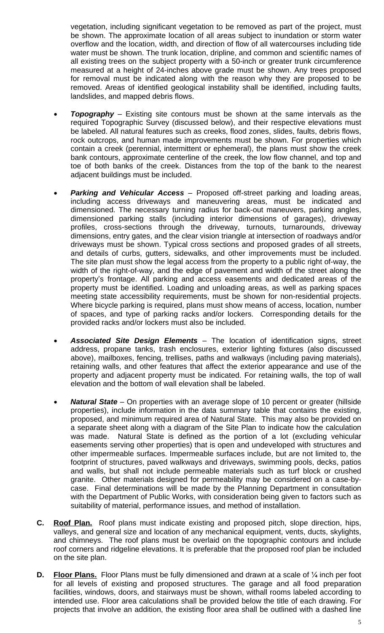vegetation, including significant vegetation to be removed as part of the project, must be shown. The approximate location of all areas subject to inundation or storm water overflow and the location, width, and direction of flow of all watercourses including tide water must be shown. The trunk location, dripline, and common and scientific names of all existing trees on the subject property with a 50-inch or greater trunk circumference measured at a height of 24-inches above grade must be shown. Any trees proposed for removal must be indicated along with the reason why they are proposed to be removed. Areas of identified geological instability shall be identified, including faults, landslides, and mapped debris flows.

- **Topography** Existing site contours must be shown at the same intervals as the required Topographic Survey (discussed below), and their respective elevations must be labeled. All natural features such as creeks, flood zones, slides, faults, debris flows, rock outcrops, and human made improvements must be shown. For properties which contain a creek (perennial, intermittent or ephemeral), the plans must show the creek bank contours, approximate centerline of the creek, the low flow channel, and top and toe of both banks of the creek. Distances from the top of the bank to the nearest adjacent buildings must be included.
- *Parking and Vehicular Access* Proposed off-street parking and loading areas, including access driveways and maneuvering areas, must be indicated and dimensioned. The necessary turning radius for back-out maneuvers, parking angles, dimensioned parking stalls (including interior dimensions of garages), driveway profiles, cross-sections through the driveway, turnouts, turnarounds, driveway dimensions, entry gates, and the clear vision triangle at intersection of roadways and/or driveways must be shown. Typical cross sections and proposed grades of all streets, and details of curbs, gutters, sidewalks, and other improvements must be included. The site plan must show the legal access from the property to a public right of-way, the width of the right-of-way, and the edge of pavement and width of the street along the property's frontage. All parking and access easements and dedicated areas of the property must be identified. Loading and unloading areas, as well as parking spaces meeting state accessibility requirements, must be shown for non-residential projects. Where bicycle parking is required, plans must show means of access, location, number of spaces, and type of parking racks and/or lockers. Corresponding details for the provided racks and/or lockers must also be included.
- *Associated Site Design Elements* The location of identification signs, street address, propane tanks, trash enclosures, exterior lighting fixtures (also discussed above), mailboxes, fencing, trellises, paths and walkways (including paving materials), retaining walls, and other features that affect the exterior appearance and use of the property and adjacent property must be indicated. For retaining walls, the top of wall elevation and the bottom of wall elevation shall be labeled.
- *Natural State –* On properties with an average slope of 10 percent or greater (hillside properties), include information in the data summary table that contains the existing, proposed, and minimum required area of Natural State. This may also be provided on a separate sheet along with a diagram of the Site Plan to indicate how the calculation was made. Natural State is defined as the portion of a lot (excluding vehicular easements serving other properties) that is open and undeveloped with structures and other impermeable surfaces. Impermeable surfaces include, but are not limited to, the footprint of structures, paved walkways and driveways, swimming pools, decks, patios and walls, but shall not include permeable materials such as turf block or crushed granite. Other materials designed for permeability may be considered on a case-bycase. Final determinations will be made by the Planning Department in consultation with the Department of Public Works, with consideration being given to factors such as suitability of material, performance issues, and method of installation.
- **C. Roof Plan.** Roof plans must indicate existing and proposed pitch, slope direction, hips, valleys, and general size and location of any mechanical equipment, vents, ducts, skylights, and chimneys. The roof plans must be overlaid on the topographic contours and include roof corners and ridgeline elevations. It is preferable that the proposed roof plan be included on the site plan.
- **D.** Floor Plans. Floor Plans must be fully dimensioned and drawn at a scale of  $\frac{1}{4}$  inch per foot for all levels of existing and proposed structures. The garage and all food preparation facilities, windows, doors, and stairways must be shown, withall rooms labeled according to intended use. Floor area calculations shall be provided below the title of each drawing. For projects that involve an addition, the existing floor area shall be outlined with a dashed line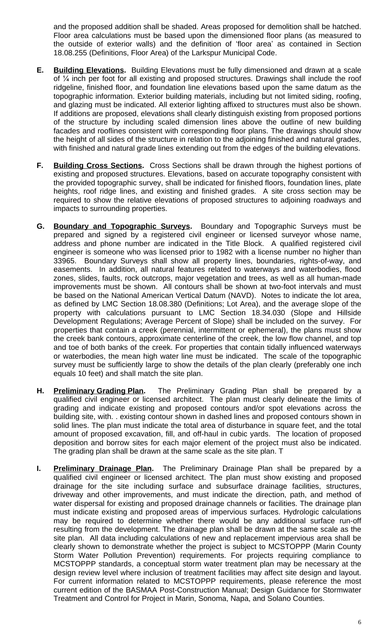and the proposed addition shall be shaded. Areas proposed for demolition shall be hatched. Floor area calculations must be based upon the dimensioned floor plans (as measured to the outside of exterior walls) and the definition of 'floor area' as contained in Section 18.08.255 (Definitions, Floor Area) of the Larkspur Municipal Code.

- **E. Building Elevations.** Building Elevations must be fully dimensioned and drawn at a scale of ¼ inch per foot for all existing and proposed structures. Drawings shall include the roof ridgeline, finished floor, and foundation line elevations based upon the same datum as the topographic information. Exterior building materials, including but not limited siding, roofing, and glazing must be indicated. All exterior lighting affixed to structures must also be shown. If additions are proposed, elevations shall clearly distinguish existing from proposed portions of the structure by including scaled dimension lines above the outline of new building facades and rooflines consistent with corresponding floor plans. The drawings should show the height of all sides of the structure in relation to the adjoining finished and natural grades, with finished and natural grade lines extending out from the edges of the building elevations.
- **F. Building Cross Sections.** Cross Sections shall be drawn through the highest portions of existing and proposed structures. Elevations, based on accurate topography consistent with the provided topographic survey, shall be indicated for finished floors, foundation lines, plate heights, roof ridge lines, and existing and finished grades. A site cross section may be required to show the relative elevations of proposed structures to adjoining roadways and impacts to surrounding properties.
- **G. Boundary and Topographic Surveys.** Boundary and Topographic Surveys must be prepared and signed by a registered civil engineer or licensed surveyor whose name, address and phone number are indicated in the Title Block. A qualified registered civil engineer is someone who was licensed prior to 1982 with a license number no higher than 33965. Boundary Surveys shall show all property lines, boundaries, rights-of-way, and easements. In addition, all natural features related to waterways and waterbodies, flood zones, slides, faults, rock outcrops, major vegetation and trees, as well as all human-made improvements must be shown. All contours shall be shown at two-foot intervals and must be based on the National American Vertical Datum (NAVD). Notes to indicate the lot area, as defined by LMC Section 18.08.380 (Definitions; Lot Area), and the average slope of the property with calculations pursuant to LMC Section 18.34.030 (Slope and Hillside Development Regulations; Average Percent of Slope) shall be included on the survey. For properties that contain a creek (perennial, intermittent or ephemeral), the plans must show the creek bank contours, approximate centerline of the creek, the low flow channel, and top and toe of both banks of the creek. For properties that contain tidally influenced waterways or waterbodies, the mean high water line must be indicated. The scale of the topographic survey must be sufficiently large to show the details of the plan clearly (preferably one inch equals 10 feet) and shall match the site plan.
- **H. Preliminary Grading Plan.** The Preliminary Grading Plan shall be prepared by a qualified civil engineer or licensed architect. The plan must clearly delineate the limits of grading and indicate existing and proposed contours and/or spot elevations across the building site, with. . existing contour shown in dashed lines and proposed contours shown in solid lines. The plan must indicate the total area of disturbance in square feet, and the total amount of proposed excavation, fill, and off-haul in cubic yards. The location of proposed deposition and borrow sites for each major element of the project must also be indicated. The grading plan shall be drawn at the same scale as the site plan. T
- **I. Preliminary Drainage Plan.** The Preliminary Drainage Plan shall be prepared by a qualified civil engineer or licensed architect. The plan must show existing and proposed drainage for the site including surface and subsurface drainage facilities, structures, driveway and other improvements, and must indicate the direction, path, and method of water dispersal for existing and proposed drainage channels or facilities. The drainage plan must indicate existing and proposed areas of impervious surfaces. Hydrologic calculations may be required to determine whether there would be any additional surface run-off resulting from the development. The drainage plan shall be drawn at the same scale as the site plan. All data including calculations of new and replacement impervious area shall be clearly shown to demonstrate whether the project is subject to MCSTOPPP (Marin County Storm Water Pollution Prevention) requirements. For projects requiring compliance to MCSTOPPP standards, a conceptual storm water treatment plan may be necessary at the design review level where inclusion of treatment facilities may affect site design and layout. For current information related to MCSTOPPP requirements, please reference the most current edition of the BASMAA Post-Construction Manual; Design Guidance for Stormwater Treatment and Control for Project in Marin, Sonoma, Napa, and Solano Counties.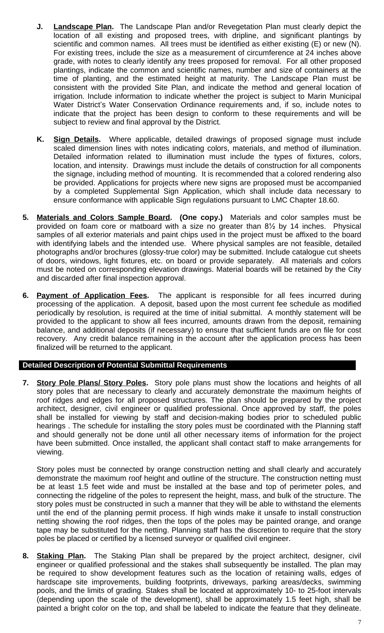- **J. Landscape Plan.** The Landscape Plan and/or Revegetation Plan must clearly depict the location of all existing and proposed trees, with dripline, and significant plantings by scientific and common names. All trees must be identified as either existing (E) or new (N). For existing trees, include the size as a measurement of circumference at 24 inches above grade, with notes to clearly identify any trees proposed for removal. For all other proposed plantings, indicate the common and scientific names, number and size of containers at the time of planting, and the estimated height at maturity. The Landscape Plan must be consistent with the provided Site Plan, and indicate the method and general location of irrigation. Include information to indicate whether the project is subject to Marin Municipal Water District's Water Conservation Ordinance requirements and, if so, include notes to indicate that the project has been design to conform to these requirements and will be subject to review and final approval by the District.
- **K. Sign Details.** Where applicable, detailed drawings of proposed signage must include scaled dimension lines with notes indicating colors, materials, and method of illumination. Detailed information related to illumination must include the types of fixtures, colors, location, and intensity. Drawings must include the details of construction for all components the signage, including method of mounting. It is recommended that a colored rendering also be provided. Applications for projects where new signs are proposed must be accompanied by a completed Supplemental Sign Application, which shall include data necessary to ensure conformance with applicable Sign regulations pursuant to LMC Chapter 18.60.
- **5. Materials and Colors Sample Board. (One copy.)** Materials and color samples must be provided on foam core or matboard with a size no greater than 8½ by 14 inches. Physical samples of all exterior materials and paint chips used in the project must be affixed to the board with identifying labels and the intended use. Where physical samples are not feasible, detailed photographs and/or brochures (glossy-true color) may be submitted. Include catalogue cut sheets of doors, windows, light fixtures, etc. on board or provide separately. All materials and colors must be noted on corresponding elevation drawings. Material boards will be retained by the City and discarded after final inspection approval.
- **6. Payment of Application Fees.** The applicant is responsible for all fees incurred during processing of the application. A deposit, based upon the most current fee schedule as modified periodically by resolution, is required at the time of initial submittal. A monthly statement will be provided to the applicant to show all fees incurred, amounts drawn from the deposit, remaining balance, and additional deposits (if necessary) to ensure that sufficient funds are on file for cost recovery. Any credit balance remaining in the account after the application process has been finalized will be returned to the applicant.

# **Detailed Description of Potential Submittal Requirements**

**7. Story Pole Plans/ Story Poles.** Story pole plans must show the locations and heights of all story poles that are necessary to clearly and accurately demonstrate the maximum heights of roof ridges and edges for all proposed structures. The plan should be prepared by the project architect, designer, civil engineer or qualified professional. Once approved by staff, the poles shall be installed for viewing by staff and decision-making bodies prior to scheduled public hearings . The schedule for installing the story poles must be coordinated with the Planning staff and should generally not be done until all other necessary items of information for the project have been submitted. Once installed, the applicant shall contact staff to make arrangements for viewing.

Story poles must be connected by orange construction netting and shall clearly and accurately demonstrate the maximum roof height and outline of the structure. The construction netting must be at least 1.5 feet wide and must be installed at the base and top of perimeter poles, and connecting the ridgeline of the poles to represent the height, mass, and bulk of the structure. The story poles must be constructed in such a manner that they will be able to withstand the elements until the end of the planning permit process. If high winds make it unsafe to install construction netting showing the roof ridges, then the tops of the poles may be painted orange, and orange tape may be substituted for the netting. Planning staff has the discretion to require that the story poles be placed or certified by a licensed surveyor or qualified civil engineer.

**8. Staking Plan.** The Staking Plan shall be prepared by the project architect, designer, civil engineer or qualified professional and the stakes shall subsequently be installed. The plan may be required to show development features such as the location of retaining walls, edges of hardscape site improvements, building footprints, driveways, parking areas/decks, swimming pools, and the limits of grading. Stakes shall be located at approximately 10- to 25-foot intervals (depending upon the scale of the development), shall be approximately 1.5 feet high, shall be painted a bright color on the top, and shall be labeled to indicate the feature that they delineate.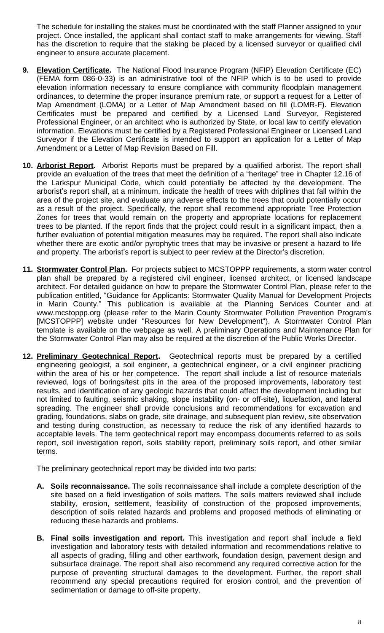Surveyor if the Elevation Certificate is intended to support an application for a Letter of Map Amendment or a Letter of Map Revision Based on Fill.

- **10. Arborist Report.** Arborist Reports must be prepared by a qualified arborist. The report shall provide an evaluation of the trees that meet the definition of a "heritage" tree in Chapter 12.16 of the Larkspur Municipal Code, which could potentially be affected by the development. The arborist's report shall, at a minimum, indicate the health of trees with driplines that fall within the area of the project site, and evaluate any adverse effects to the trees that could potentially occur as a result of the project. Specifically, the report shall recommend appropriate Tree Protection Zones for trees that would remain on the property and appropriate locations for replacement trees to be planted. If the report finds that the project could result in a significant impact, then a further evaluation of potential mitigation measures may be required. The report shall also [indicate](http://www.fema.gov/media-library/assets/documents/160?id=1383) whether there are exotic and/or pyrophytic trees that may be invasive or present a hazard to life and property. The arborist's report is subject to peer review at the Director's discretion.
- **11. Stormwater Control Plan.** For projects subject to MCSTOPPP requirements, a storm water control plan shall be prepared by a registered civil engineer, licensed architect, or licensed landscape architect. For detailed guidance on how to prepare the Stormwater Control Plan, please refer to the publication entitled, "Guidance for Applicants: Stormwater Quality Manual for Development Projects in Marin County." This publication is available at the Planning Services Counter and at www.mcstoppp.org (please refer to the Marin County Stormwater Pollution Prevention Program's [MCSTOPPP] website under "Resources for New Development"). A Stormwater Control Plan template is available on the webpage as well. A preliminary Operations and Maintenance Plan for the Stormwater Control Plan may also be required at the discretion of the Public Works Director.
- **12. Preliminary Geotechnical Report.** Geotechnical reports must be prepared by a certified engineering geologist, a soil engineer, a geotechnical engineer, or a civil engineer practicing within the area of his or her competence. The report shall include a list of resource materials reviewed, logs of borings/test pits in the area of the proposed improvements, laboratory test results, and identification of any geologic hazards that could affect the development including but not limited to faulting, seismic shaking, slope instability (on- or off-site), liquefaction, and lateral spreading. The engineer shall provide conclusions and recommendations for excavation and grading, foundations, slabs on grade, site drainage, and subsequent plan review, site observation and testing during construction, as necessary to reduce the risk of any identified hazards to acceptable levels. The term geotechnical report may encompass documents referred to as soils report, soil investigation report, soils stability report, preliminary soils report, and other similar terms.

The preliminary geotechnical report may be divided into two parts:

- **A. Soils reconnaissance.** The soils reconnaissance shall include a complete description of the site based on a field investigation of soils matters. The soils matters reviewed shall include stability, erosion, settlement, feasibility of construction of the proposed improvements, description of soils related hazards and problems and proposed methods of eliminating or reducing these hazards and problems.
- **B. Final soils investigation and report.** This investigation and report shall include a field investigation and laboratory tests with detailed information and recommendations relative to all aspects of grading, filling and other earthwork, foundation design, pavement design and subsurface drainage. The report shall also recommend any required corrective action for the purpose of preventing structural damages to the development. Further, the report shall recommend any special precautions required for erosion control, and the prevention of sedimentation or damage to off-site property.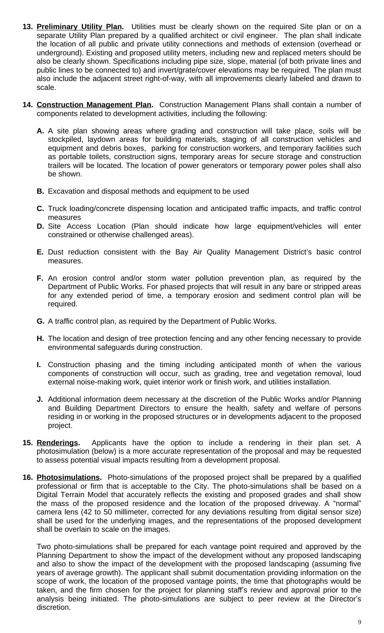- **13. Preliminary Utility Plan.** Utilities must be clearly shown on the required Site plan or on a separate Utility Plan prepared by a qualified architect or civil engineer. The plan shall indicate the location of all public and private utility connections and methods of extension (overhead or underground). Existing and proposed utility meters, including new and replaced meters should be also be clearly shown. Specifications including pipe size, slope, material (of both private lines and public lines to be connected to) and invert/grate/cover elevations may be required. The plan must also include the adjacent street right-of-way, with all improvements clearly labeled and drawn to scale.
- **14. Construction Management Plan.** Construction Management Plans shall contain a number of components related to development activities, including the following:
	- **A.** A site plan showing areas where grading and construction will take place, soils will be stockpiled, laydown areas for building materials, staging of all construction vehicles and equipment and debris boxes, parking for construction workers, and temporary facilities such as portable toilets, construction signs, temporary areas for secure storage and construction trailers will be located. The location of power generators or temporary power poles shall also be shown.
	- **B.** Excavation and disposal methods and equipment to be used
	- **C.** Truck loading/concrete dispensing location and anticipated traffic impacts, and traffic control measures
	- **D.** Site Access Location (Plan should indicate how large equipment/vehicles will enter constrained or otherwise challenged areas).
	- **E.** Dust reduction consistent with the Bay Air Quality Management District's basic control measures.
	- **F.** An erosion control and/or storm water pollution prevention plan, as required by the Department of Public Works. For phased projects that will result in any bare or stripped areas for any extended period of time, a temporary erosion and sediment control plan will be required.
	- **G.** A traffic control plan, as required by the Department of Public Works.
	- **H.** The location and design of tree protection fencing and any other fencing necessary to provide environmental safeguards during construction.
	- **I.** Construction phasing and the timing including anticipated month of when the various components of construction will occur, such as grading, tree and vegetation removal, loud external noise-making work, quiet interior work or finish work, and utilities installation.
	- **J.** Additional information deem necessary at the discretion of the Public Works and/or Planning and Building Department Directors to ensure the health, safety and welfare of persons residing in or working in the proposed structures or in developments adjacent to the proposed project.
- **15. Renderings.** Applicants have the option to include a rendering in their plan set. A photosimulation (below) is a more accurate representation of the proposal and may be requested to assess potential visual impacts resulting from a development proposal.
- **16. Photosimulations.** Photo-simulations of the proposed project shall be prepared by a qualified professional or firm that is acceptable to the City. The photo-simulations shall be based on a Digital Terrain Model that accurately reflects the existing and proposed grades and shall show the mass of the proposed residence and the location of the proposed driveway. A "normal" camera lens (42 to 50 millimeter, corrected for any deviations resulting from digital sensor size) shall be used for the underlying images, and the representations of the proposed development shall be overlain to scale on the images.

Two photo-simulations shall be prepared for each vantage point required and approved by the Planning Department to show the impact of the development without any proposed landscaping and also to show the impact of the development with the proposed landscaping (assuming five years of average growth). The applicant shall submit documentation providing information on the scope of work, the location of the proposed vantage points, the time that photographs would be taken, and the firm chosen for the project for planning staff's review and approval prior to the analysis being initiated. The photo-simulations are subject to peer review at the Director's discretion.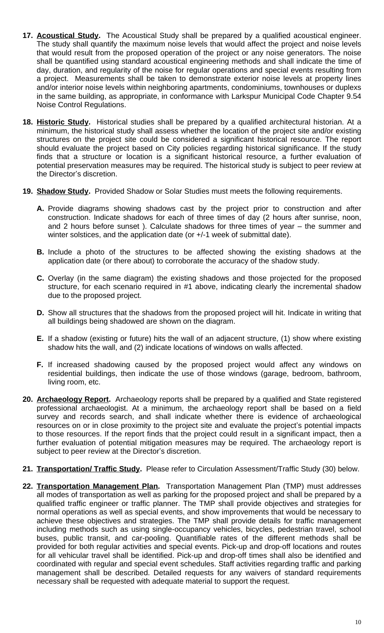- **17. Acoustical Study.** The Acoustical Study shall be prepared by a qualified acoustical engineer. The study shall quantify the maximum noise levels that would affect the project and noise levels that would result from the proposed operation of the project or any noise generators. The noise shall be quantified using standard acoustical engineering methods and shall indicate the time of day, duration, and regularity of the noise for regular operations and special events resulting from a project. Measurements shall be taken to demonstrate exterior noise levels at property lines and/or interior noise levels within neighboring apartments, condominiums, townhouses or duplexs in the same building, as appropriate, in conformance with Larkspur Municipal Code Chapter 9.54 Noise Control Regulations.
- **18. Historic Study.** Historical studies shall be prepared by a qualified architectural historian. At a minimum, the historical study shall assess whether the location of the project site and/or existing structures on the project site could be considered a significant historical resource. The report should evaluate the project based on City policies regarding historical significance. If the study finds that a structure or location is a significant historical resource, a further evaluation of potential preservation measures may be required. The historical study is subject to peer review at the Director's discretion.
- **19. Shadow Study.** Provided Shadow or Solar Studies must meets the following requirements.
	- **A.** Provide diagrams showing shadows cast by the project prior to construction and after construction. Indicate shadows for each of three times of day (2 hours after sunrise, noon, and 2 hours before sunset ). Calculate shadows for three times of year – the summer and winter solstices, and the application date (or  $+/-1$  week of submittal date).
	- **B.** Include a photo of the structures to be affected showing the existing shadows at the application date (or there about) to corroborate the accuracy of the shadow study.
	- **C.** Overlay (in the same diagram) the existing shadows and those projected for the proposed structure, for each scenario required in #1 above, indicating clearly the incremental shadow due to the proposed project.
	- **D.** Show all structures that the shadows from the proposed project will hit. Indicate in writing that all buildings being shadowed are shown on the diagram.
	- **E.** If a shadow (existing or future) hits the wall of an adjacent structure, (1) show where existing shadow hits the wall, and (2) indicate locations of windows on walls affected.
	- **F.** If increased shadowing caused by the proposed project would affect any windows on residential buildings, then indicate the use of those windows (garage, bedroom, bathroom, living room, etc.
- **20. Archaeology Report.** Archaeology reports shall be prepared by a qualified and State registered professional archaeologist. At a minimum, the archaeology report shall be based on a field survey and records search, and shall indicate whether there is evidence of archaeological resources on or in close proximity to the project site and evaluate the project's potential impacts to those resources. If the report finds that the project could result in a significant impact, then a further evaluation of potential mitigation measures may be required. The archaeology report is subject to peer review at the Director's discretion.
- **21. Transportation/ Traffic Study.** Please refer to Circulation Assessment/Traffic Study (30) below.
- **22. Transportation Management Plan.** Transportation Management Plan (TMP) must addresses all modes of transportation as well as parking for the proposed project and shall be prepared by a qualified traffic engineer or traffic planner. The TMP shall provide objectives and strategies for normal operations as well as special events, and show improvements that would be necessary to achieve these objectives and strategies. The TMP shall provide details for traffic management including methods such as using single-occupancy vehicles, bicycles, pedestrian travel, school buses, public transit, and car-pooling. Quantifiable rates of the different methods shall be provided for both regular activities and special events. Pick-up and drop-off locations and routes for all vehicular travel shall be identified. Pick-up and drop-off times shall also be identified and coordinated with regular and special event schedules. Staff activities regarding traffic and parking management shall be described. Detailed requests for any waivers of standard requirements necessary shall be requested with adequate material to support the request.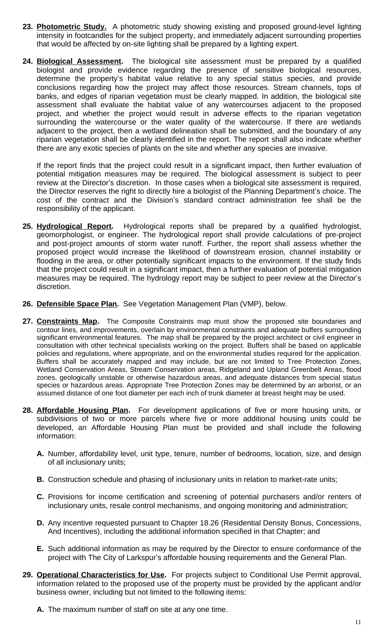- **23. Photometric Study.** A photometric study showing existing and proposed ground-level lighting intensity in footcandles for the subject property, and immediately adjacent surrounding properties that would be affected by on-site lighting shall be prepared by a lighting expert.
- **24. Biological Assessment.** The biological site assessment must be prepared by a qualified biologist and provide evidence regarding the presence of sensitive biological resources, determine the property's habitat value relative to any special status species, and provide conclusions regarding how the project may affect those resources. Stream channels, tops of banks, and edges of riparian vegetation must be clearly mapped. In addition, the biological site assessment shall evaluate the habitat value of any watercourses adjacent to the proposed project, and whether the project would result in adverse effects to the riparian vegetation surrounding the watercourse or the water quality of the watercourse. If there are wetlands adjacent to the project, then a wetland delineation shall be submitted, and the boundary of any riparian vegetation shall be clearly identified in the report. The report shall also indicate whether there are any exotic species of plants on the site and whether any species are invasive.

If the report finds that the project could result in a significant impact, then further evaluation of potential mitigation measures may be required. The biological assessment is subject to peer review at the Director's discretion. In those cases when a biological site assessment is required, the Director reserves the right to directly hire a biologist of the Planning Department's choice. The cost of the contract and the Division's standard contract administration fee shall be the responsibility of the applicant.

- **25. Hydrological Report.** Hydrological reports shall be prepared by a qualified hydrologist, geomorphologist, or engineer. The hydrological report shall provide calculations of pre-project and post-project amounts of storm water runoff. Further, the report shall assess whether the proposed project would increase the likelihood of downstream erosion, channel instability or flooding in the area, or other potentially significant impacts to the environment. If the study finds that the project could result in a significant impact, then a further evaluation of potential mitigation measures may be required. The hydrology report may be subject to peer review at the Director's discretion.
- **26. Defensible Space Plan.** See Vegetation Management Plan (VMP), below.
- **27. Constraints Map.** The Composite Constraints map must show the proposed site boundaries and contour lines, and improvements, overlain by environmental constraints and adequate buffers surrounding significant environmental features. The map shall be prepared by the project architect or civil engineer in consultation with other technical specialists working on the project. Buffers shall be based on applicable policies and regulations, where appropriate, and on the environmental studies required for the application. Buffers shall be accurately mapped and may include, but are not limited to Tree Protection Zones, Wetland Conservation Areas, Stream Conservation areas, Ridgeland and Upland Greenbelt Areas, flood zones, geologically unstable or otherwise hazardous areas, and adequate distances from special status species or hazardous areas. Appropriate Tree Protection Zones may be determined by an arborist, or an assumed distance of one foot diameter per each inch of trunk diameter at breast height may be used.
- **28. Affordable Housing Plan.** For development applications of five or more housing units, or subdivisions of two or more parcels where five or more additional housing units could be developed, an Affordable Housing Plan must be provided and shall include the following information:
	- **A.** Number, affordability level, unit type, tenure, number of bedrooms, location, size, and design of all inclusionary units;
	- **B.** Construction schedule and phasing of inclusionary units in relation to market-rate units;
	- **C.** Provisions for income certification and screening of potential purchasers and/or renters of inclusionary units, resale control mechanisms, and ongoing monitoring and administration;
	- **D.** Any incentive requested pursuant to Chapter 18.26 (Residential Density Bonus, Concessions, And Incentives), including the additional information specified in that Chapter; and
	- **E.** Such additional information as may be required by the Director to ensure conformance of the project with The City of Larkspur's affordable housing requirements and the General Plan.
- **29. Operational Characteristics for Use.** For projects subject to Conditional Use Permit approval, information related to the proposed use of the property must be provided by the applicant and/or business owner, including but not limited to the following items:
	- **A.** The maximum number of staff on site at any one time.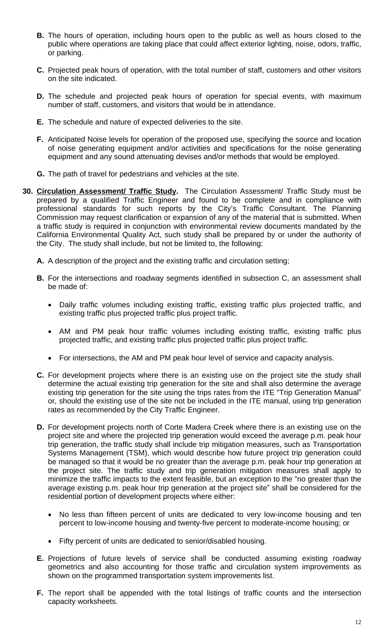- **B.** The hours of operation, including hours open to the public as well as hours closed to the public where operations are taking place that could affect exterior lighting, noise, odors, traffic, or parking.
- **C.** Projected peak hours of operation, with the total number of staff, customers and other visitors on the site indicated.
- **D.** The schedule and projected peak hours of operation for special events, with maximum number of staff, customers, and visitors that would be in attendance.
- **E.** The schedule and nature of expected deliveries to the site.
- **F.** Anticipated Noise levels for operation of the proposed use, specifying the source and location of noise generating equipment and/or activities and specifications for the noise generating equipment and any sound attenuating devises and/or methods that would be employed.
- **G.** The path of travel for pedestrians and vehicles at the site.
- **30. Circulation Assessment/ Traffic Study.** The Circulation Assessment/ Traffic Study must be prepared by a qualified Traffic Engineer and found to be complete and in compliance with professional standards for such reports by the City's Traffic Consultant. The Planning Commission may request clarification or expansion of any of the material that is submitted. When a traffic study is required in conjunction with environmental review documents mandated by the California Environmental Quality Act, such study shall be prepared by or under the authority of the City. The study shall include, but not be limited to, the following:
	- **A.** A description of the project and the existing traffic and circulation setting;
	- **B.** For the intersections and roadway segments identified in subsection C, an assessment shall be made of:
		- Daily traffic volumes including existing traffic, existing traffic plus projected traffic, and existing traffic plus projected traffic plus project traffic.
		- AM and PM peak hour traffic volumes including existing traffic, existing traffic plus projected traffic, and existing traffic plus projected traffic plus project traffic.
		- For intersections, the AM and PM peak hour level of service and capacity analysis.
	- **C.** For development projects where there is an existing use on the project site the study shall determine the actual existing trip generation for the site and shall also determine the average existing trip generation for the site using the trips rates from the ITE "Trip Generation Manual" or, should the existing use of the site not be included in the ITE manual, using trip generation rates as recommended by the City Traffic Engineer.
	- **D.** For development projects north of Corte Madera Creek where there is an existing use on the project site and where the projected trip generation would exceed the average p.m. peak hour trip generation, the traffic study shall include trip mitigation measures, such as Transportation Systems Management (TSM), which would describe how future project trip generation could be managed so that it would be no greater than the average p.m. peak hour trip generation at the project site. The traffic study and trip generation mitigation measures shall apply to minimize the traffic impacts to the extent feasible, but an exception to the "no greater than the average existing p.m. peak hour trip generation at the project site" shall be considered for the residential portion of development projects where either:
		- No less than fifteen percent of units are dedicated to very low-income housing and ten percent to low-income housing and twenty-five percent to moderate-income housing; or
		- Fifty percent of units are dedicated to senior/disabled housing.
	- **E.** Projections of future levels of service shall be conducted assuming existing roadway geometrics and also accounting for those traffic and circulation system improvements as shown on the programmed transportation system improvements list.
	- **F.** The report shall be appended with the total listings of traffic counts and the intersection capacity worksheets.